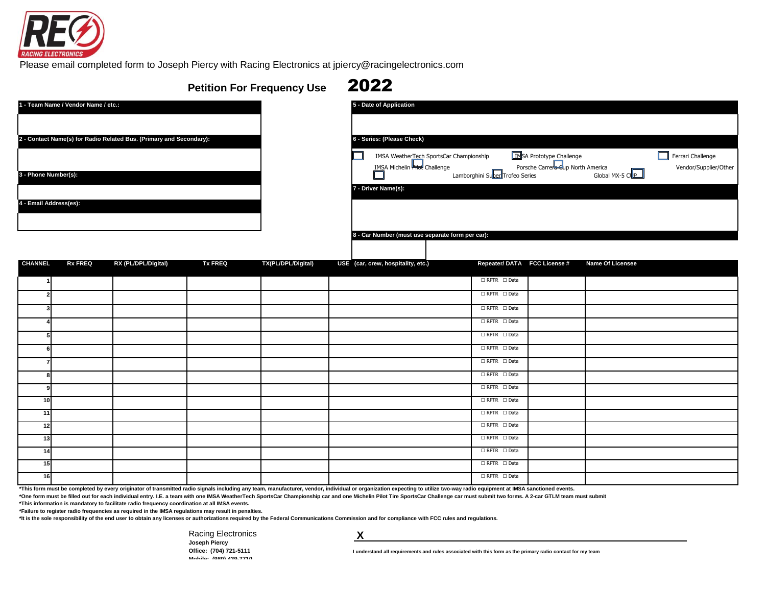

[Please](mailto:jpiercy@racingelectronics.com) email completed form to Joseph Piercy with Racing Electronics at jpiercy@racingelectronics.com

## **Petition For Frequency Use** 2022

| 1 - Team Name / Vendor Name / etc.:                                 | 5 - Date of Application                             |
|---------------------------------------------------------------------|-----------------------------------------------------|
|                                                                     |                                                     |
| 2 - Contact Name(s) for Radio Related Bus. (Primary and Secondary): | 6 - Series: (Please Check)                          |
|                                                                     | <b>IMSA WeatherTech</b><br><b>IMSA Michelin</b> Htd |
| 3 - Phone Number(s):                                                |                                                     |
|                                                                     | 7 - Driver Name(s):                                 |
| 4 - Email Address(es):                                              |                                                     |
|                                                                     |                                                     |
|                                                                     | 8 - Car Number (must use                            |

| 1 - Team Name / Vendor Name / etc.:                                         | 5 - Date of Application                                                                                                  |                       |
|-----------------------------------------------------------------------------|--------------------------------------------------------------------------------------------------------------------------|-----------------------|
|                                                                             |                                                                                                                          |                       |
| 2 - Contact Name(s) for Radio Related Bus. (Primary and Secondary):         | 6 - Series: (Please Check)                                                                                               |                       |
|                                                                             | INSA Prototype Challenge<br>IMSA Weather Tech SportsCar Championship                                                     | Ferrari Challenge     |
| 3 - Phone Number(s):                                                        | Porsche Carrera Eup North America<br>IMSA Michelin Filed Challenge<br>Global MX-5 CLP<br>Lamborghini Suber Trofeo Series | Vendor/Supplier/Other |
|                                                                             | 7 - Driver Name(s):                                                                                                      |                       |
| 4 - Email Address(es):                                                      |                                                                                                                          |                       |
|                                                                             |                                                                                                                          |                       |
|                                                                             | 8 - Car Number (must use separate form per car):                                                                         |                       |
|                                                                             |                                                                                                                          |                       |
| DY (DI /DDI /Digital)<br><b>CHANNEL</b><br><b>TV EDEA</b><br><b>DV EDEA</b> | <b>TY/DI /DDI /Digital)</b><br>$HSE$ (car crow hoenitality oto)<br>Ponostor/DATA ECC Liconsoft<br>Namo Of Liconson       |                       |

| <b>CHANNEL</b> | <b>Rx FREQ</b> | RX (PL/DPL/Digital) | <b>Tx FREQ</b> | TX(PL/DPL/Digital) | USE (car, crew, hospitality, etc.) | Repeater/DATA FCC License #                        | Name Of Licensee |
|----------------|----------------|---------------------|----------------|--------------------|------------------------------------|----------------------------------------------------|------------------|
|                |                |                     |                |                    |                                    | $\Box$ RPTR $\Box$ Data                            |                  |
|                |                |                     |                |                    |                                    | $\Box$ RPTR $\Box$ Data                            |                  |
|                |                |                     |                |                    |                                    | $\Box$ RPTR $\Box$ Data                            |                  |
|                |                |                     |                |                    |                                    | $\Box$ RPTR $\Box$ Data                            |                  |
|                |                |                     |                |                    |                                    | $\Box$ RPTR $\Box$ Data                            |                  |
|                |                |                     |                |                    |                                    | $\Box$ RPTR $\Box$ Data                            |                  |
|                |                |                     |                |                    |                                    | $\Box$ RPTR $\Box$ Data                            |                  |
|                |                |                     |                |                    |                                    | $\Box$ RPTR $\Box$ Data                            |                  |
|                |                |                     |                |                    |                                    | $\Box$ RPTR $\Box$ Data                            |                  |
| 10             |                |                     |                |                    |                                    | $\Box$ RPTR $\Box$ Data                            |                  |
| 11             |                |                     |                |                    |                                    | $\Box$ RPTR $\Box$ Data                            |                  |
| 12             |                |                     |                |                    |                                    | $\Box$ RPTR $\Box$ Data                            |                  |
| 13             |                |                     |                |                    |                                    | $\Box$ RPTR $\Box$ Data<br>$\Box$ RPTR $\Box$ Data |                  |
| 14<br>15       |                |                     |                |                    |                                    | $\Box$ RPTR $\Box$ Data                            |                  |
|                |                |                     |                |                    |                                    | $\Box$ RPTR $\Box$ Data                            |                  |
| 16             |                |                     |                |                    |                                    |                                                    |                  |

\*This form must be completed by every originator of transmitted radio signals including any team, manufacturer, vendor, individual or organization expecting to utilize two-way radio equipment at IMSA sanctioned events.

\*One form must be filled out for each individual entry. I.E. a team with one IMSA WeatherTech SportsCar Championship car and one Michelin Pilot Tire SportsCar Challenge car must submit two forms. A 2-car GTLM team must sub

**\*This information is mandatory to facilitate radio frequency coordination at all IMSA events.**

**\*Failure to register radio frequencies as required in the IMSA regulations may result in penalties.**

**\*It is the sole responsibility of the end user to obtain any licenses or authorizations required by the Federal Communications Commission and for compliance with FCC rules and regulations.**

[Racing Electronics](mailto:jpiercy@racingelectronics.com) **[Joseph Piercy](mailto:jpiercy@racingelectronics.com) [Office: \(704\) 721-5111](mailto:jpiercy@racingelectronics.com) [Mobile: \(980\) 439-7710](mailto:jpiercy@racingelectronics.com)**

 **X** 

**I understand all requirements and rules associated with this form as the primary radio contact for my team**